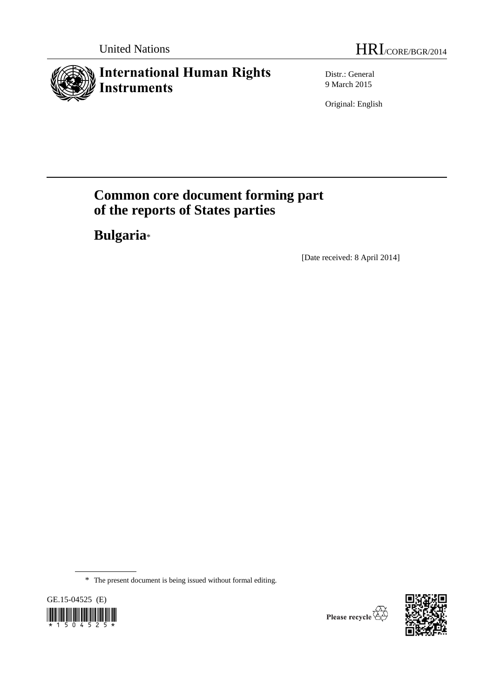# **International Human Rights Instruments**

Distr.: General 9 March 2015

Original: English

# **Common core document forming part of the reports of States parties**

**Bulgaria**\*

[Date received: 8 April 2014]

<sup>\*</sup> The present document is being issued without formal editing.



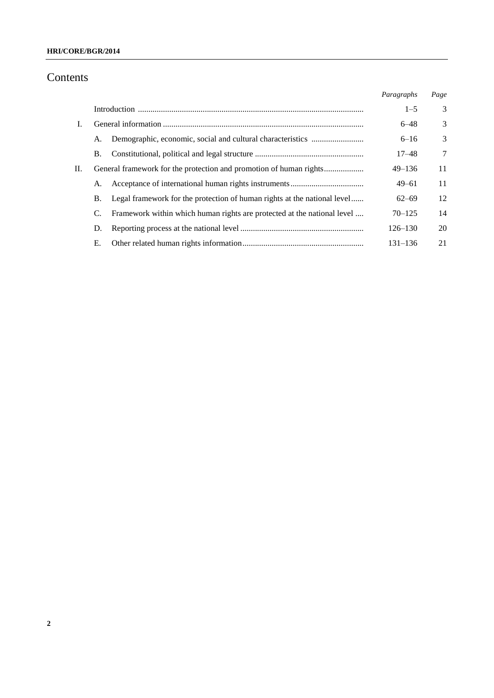### **HRI/CORE/BGR/2014**

# Contents

|    |    |                                                                          | Paragraphs  | Page |
|----|----|--------------------------------------------------------------------------|-------------|------|
|    |    |                                                                          | $1 - 5$     | 3    |
| L. |    |                                                                          | $6 - 48$    | 3    |
|    | А. |                                                                          | $6 - 16$    | 3    |
|    | Β. |                                                                          | $17 - 48$   | 7    |
| H. |    |                                                                          | $49 - 136$  | 11   |
|    | А. |                                                                          | $49 - 61$   | 11   |
|    | Β. | Legal framework for the protection of human rights at the national level | $62 - 69$   | 12   |
|    | C. | Framework within which human rights are protected at the national level  | $70 - 125$  | 14   |
|    | D. |                                                                          | $126 - 130$ | 20   |
|    | Е. |                                                                          | $131 - 136$ | 21   |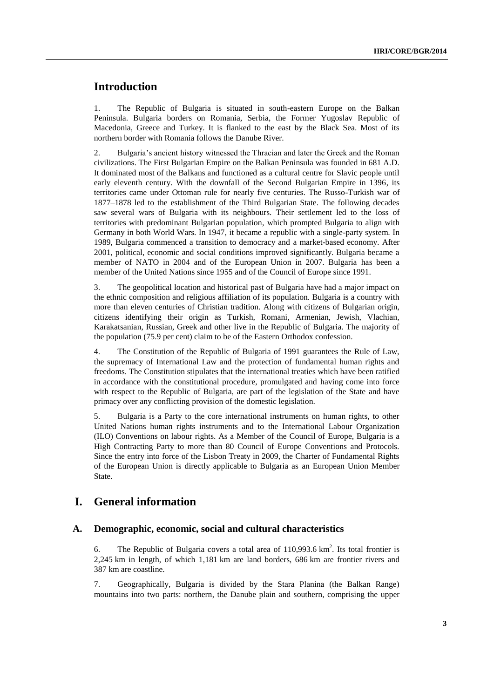# **Introduction**

1. The Republic of Bulgaria is situated in south-eastern Europe on the Balkan Peninsula. Bulgaria borders on Romania, Serbia, the Former Yugoslav Republic of Macedonia, Greece and Turkey. It is flanked to the east by the Black Sea. Most of its northern border with Romania follows the Danube River.

2. Bulgaria's ancient history witnessed the Thracian and later the Greek and the Roman civilizations. The First Bulgarian Empire on the Balkan Peninsula was founded in 681 A.D. It dominated most of the Balkans and functioned as a cultural centre for Slavic people until early eleventh century. With the downfall of the Second Bulgarian Empire in 1396, its territories came under Ottoman rule for nearly five centuries. The Russo-Turkish war of 1877–1878 led to the establishment of the Third Bulgarian State. The following decades saw several wars of Bulgaria with its neighbours. Their settlement led to the loss of territories with predominant Bulgarian population, which prompted Bulgaria to align with Germany in both World Wars. In 1947, it became a republic with a single-party system. In 1989, Bulgaria commenced a transition to democracy and a market-based economy. After 2001, political, economic and social conditions improved significantly. Bulgaria became a member of NATO in 2004 and of the European Union in 2007. Bulgaria has been a member of the United Nations since 1955 and of the Council of Europe since 1991.

3. The geopolitical location and historical past of Bulgaria have had a major impact on the ethnic composition and religious affiliation of its population. Bulgaria is a country with more than eleven centuries of Christian tradition. Along with citizens of Bulgarian origin, citizens identifying their origin as Turkish, Romani, Armenian, Jewish, Vlachian, Karakatsanian, Russian, Greek and other live in the Republic of Bulgaria. The majority of the population (75.9 per cent) claim to be of the Eastern Orthodox confession.

4. The Constitution of the Republic of Bulgaria of 1991 guarantees the Rule of Law, the supremacy of International Law and the protection of fundamental human rights and freedoms. The Constitution stipulates that the international treaties which have been ratified in accordance with the constitutional procedure, promulgated and having come into force with respect to the Republic of Bulgaria, are part of the legislation of the State and have primacy over any conflicting provision of the domestic legislation.

5. Bulgaria is a Party to the core international instruments on human rights, to other United Nations human rights instruments and to the International Labour Organization (ILO) Conventions on labour rights. As a Member of the Council of Europe, Bulgaria is a High Contracting Party to more than 80 Council of Europe Conventions and Protocols. Since the entry into force of the Lisbon Treaty in 2009, the Charter of Fundamental Rights of the European Union is directly applicable to Bulgaria as an European Union Member State.

## **I. General information**

### **A. Demographic, economic, social and cultural characteristics**

6. The Republic of Bulgaria covers a total area of  $110,993.6 \text{ km}^2$ . Its total frontier is 2,245 km in length, of which 1,181 km are land borders, 686 km are frontier rivers and 387 km are coastline.

7. Geographically, Bulgaria is divided by the Stara Planina (the Balkan Range) mountains into two parts: northern, the Danube plain and southern, comprising the upper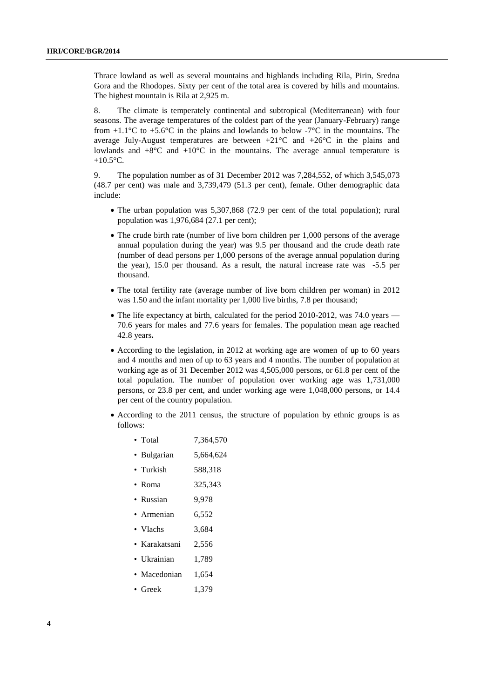Thrace lowland as well as several mountains and highlands including Rila, Pirin, Sredna Gora and the Rhodopes. Sixty per cent of the total area is covered by hills and mountains. The highest mountain is Rila at 2,925 m.

8. The climate is temperately continental and subtropical (Mediterranean) with four seasons. The average temperatures of the coldest part of the year (January-February) range from  $+1.1^{\circ}$ C to  $+5.6^{\circ}$ C in the plains and lowlands to below -7 $^{\circ}$ C in the mountains. The average July-August temperatures are between +21°C and +26°C in the plains and lowlands and  $+8^{\circ}$ C and  $+10^{\circ}$ C in the mountains. The average annual temperature is  $+10.5$ °C.

9. The population number as of 31 December 2012 was 7,284,552, of which 3,545,073 (48.7 per cent) was male and 3,739,479 (51.3 per cent), female. Other demographic data include:

- The urban population was 5,307,868 (72.9 per cent of the total population); rural population was 1,976,684 (27.1 per cent);
- The crude birth rate (number of live born children per 1,000 persons of the average annual population during the year) was 9.5 per thousand and the crude death rate (number of dead persons per 1,000 persons of the average annual population during the year), 15.0 per thousand. As a result, the natural increase rate was -5.5 per thousand.
- The total fertility rate (average number of live born children per woman) in 2012 was 1.50 and the infant mortality per 1,000 live births, 7.8 per thousand;
- The life expectancy at birth, calculated for the period 2010-2012, was 74.0 years 70.6 years for males and 77.6 years for females. The population mean age reached 42.8 years**.**
- According to the legislation, in 2012 at working age are women of up to 60 years and 4 months and men of up to 63 years and 4 months. The number of population at working age as of 31 December 2012 was 4,505,000 persons, or 61.8 per cent of the total population. The number of population over working age was 1,731,000 persons, or 23.8 per cent, and under working age were 1,048,000 persons, or 14.4 per cent of the country population.
- According to the 2011 census, the structure of population by ethnic groups is as follows:
	- Total 7,364,570
	- Bulgarian 5,664,624
	- Turkish 588,318
	- Roma 325,343
	- Russian 9,978
	- Armenian 6,552
	- Vlachs 3,684
	- Karakatsani 2,556
	- Ukrainian 1.789
	- Macedonian 1,654
	- Greek 1,379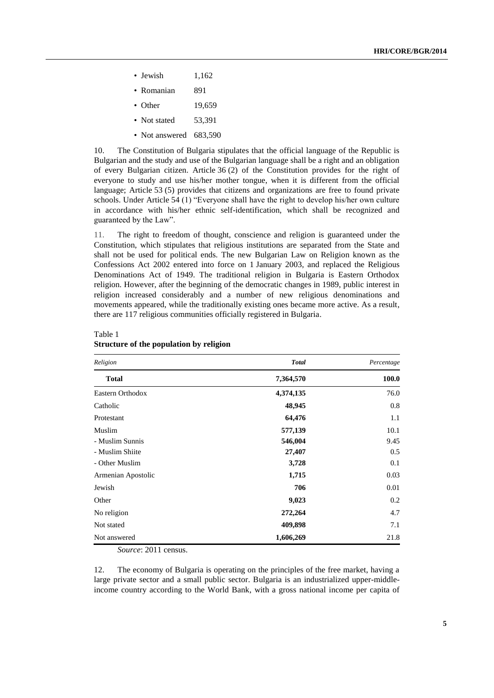- Jewish  $1,162$
- Romanian 891
- Other 19,659
- Not stated 53,391
- Not answered 683,590

10. The Constitution of Bulgaria stipulates that the official language of the Republic is Bulgarian and the study and use of the Bulgarian language shall be a right and an obligation of every Bulgarian citizen. Article 36 (2) of the Constitution provides for the right of everyone to study and use his/her mother tongue, when it is different from the official language; Article 53 (5) provides that citizens and organizations are free to found private schools. Under Article 54 (1) "Everyone shall have the right to develop his/her own culture in accordance with his/her ethnic self-identification, which shall be recognized and guaranteed by the Law".

11. The right to freedom of thought, conscience and religion is guaranteed under the Constitution, which stipulates that religious institutions are separated from the State and shall not be used for political ends. The new Bulgarian Law on Religion known as the Confessions Act 2002 entered into force on 1 January 2003, and replaced the Religious Denominations Act of 1949. The traditional religion in Bulgaria is Eastern Orthodox religion. However, after the beginning of the democratic changes in 1989, public interest in religion increased considerably and a number of new religious denominations and movements appeared, while the traditionally existing ones became more active. As a result, there are 117 religious communities officially registered in Bulgaria.

| Religion           | <b>Total</b> | Percentage<br>100.0 |  |
|--------------------|--------------|---------------------|--|
| <b>Total</b>       | 7,364,570    |                     |  |
| Eastern Orthodox   | 4,374,135    | 76.0                |  |
| Catholic           | 48,945       | 0.8                 |  |
| Protestant         | 64,476       | 1.1                 |  |
| Muslim             | 577,139      | 10.1                |  |
| - Muslim Sunnis    | 546,004      | 9.45                |  |
| - Muslim Shiite    | 27,407       | 0.5                 |  |
| - Other Muslim     | 3,728        | 0.1                 |  |
| Armenian Apostolic | 1,715        | 0.03                |  |
| Jewish             | 706          | 0.01                |  |
| Other              | 9,023        | 0.2                 |  |
| No religion        | 272,264      | 4.7                 |  |
| Not stated         | 409,898      | 7.1                 |  |
| Not answered       | 1,606,269    | 21.8                |  |

### Table 1 **Structure of the population by religion**

*Source*: 2011 census.

12. The economy of Bulgaria is operating on the principles of the free market, having a large private sector and a small public sector. Bulgaria is an industrialized upper-middleincome country according to the World Bank, with a gross national income per capita of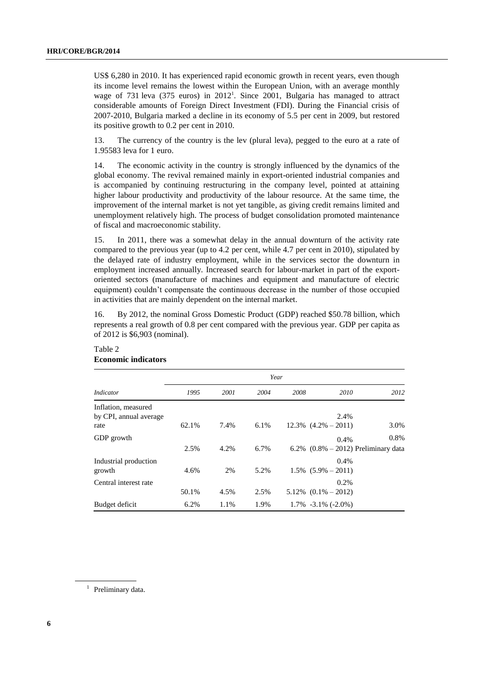US\$ 6,280 in 2010. It has experienced rapid economic growth in recent years, even though its income level remains the lowest within the European Union, with an average monthly wage of 731 leva  $(375 \text{ euros})$  in  $2012^1$ . Since 2001, Bulgaria has managed to attract considerable amounts of Foreign Direct Investment (FDI). During the Financial crisis of 2007-2010, Bulgaria marked a decline in its economy of 5.5 per cent in 2009, but restored its positive growth to 0.2 per cent in 2010.

13. The currency of the country is the lev (plural leva), pegged to the euro at a rate of 1.95583 leva for 1 euro.

14. The economic activity in the country is strongly influenced by the dynamics of the global economy. The revival remained mainly in export-oriented industrial companies and is accompanied by continuing restructuring in the company level, pointed at attaining higher labour productivity and productivity of the labour resource. At the same time, the improvement of the internal market is not yet tangible, as giving credit remains limited and unemployment relatively high. The process of budget consolidation promoted maintenance of fiscal and macroeconomic stability.

15. In 2011, there was a somewhat delay in the annual downturn of the activity rate compared to the previous year (up to 4.2 per cent, while 4.7 per cent in 2010), stipulated by the delayed rate of industry employment, while in the services sector the downturn in employment increased annually. Increased search for labour-market in part of the exportoriented sectors (manufacture of machines and equipment and manufacture of electric equipment) couldn't compensate the continuous decrease in the number of those occupied in activities that are mainly dependent on the internal market.

16. By 2012, the nominal Gross Domestic Product (GDP) reached \$50.78 billion, which represents a real growth of 0.8 per cent compared with the previous year. GDP per capita as of 2012 is \$6,903 (nominal).

|                                               | Year  |      |      |      |                                      |                                        |  |
|-----------------------------------------------|-------|------|------|------|--------------------------------------|----------------------------------------|--|
| <i>Indicator</i>                              | 1995  | 2001 | 2004 | 2008 | 2010                                 | 2012                                   |  |
| Inflation, measured<br>by CPI, annual average |       |      |      |      | 2.4%                                 |                                        |  |
| rate                                          | 62.1% | 7.4% | 6.1% |      | $12.3\%$ $(4.2\% - 2011)$            | 3.0%                                   |  |
| GDP growth                                    |       |      |      |      | 0.4%                                 | 0.8%                                   |  |
|                                               | 2.5%  | 4.2% | 6.7% |      |                                      | 6.2% $(0.8\% - 2012)$ Preliminary data |  |
| Industrial production<br>growth               | 4.6%  | 2%   | 5.2% |      | 0.4%<br>$1.5\%$ $(5.9\% - 2011)$     |                                        |  |
|                                               |       |      |      |      |                                      |                                        |  |
| Central interest rate                         | 50.1% | 4.5% | 2.5% |      | $0.2\%$<br>$5.12\%$ $(0.1\% - 2012)$ |                                        |  |
| Budget deficit                                | 6.2%  | 1.1% | 1.9% |      | $1.7\%$ -3.1\% (-2.0\%)              |                                        |  |

### Table 2 **Economic indicators**

<sup>1</sup> Preliminary data.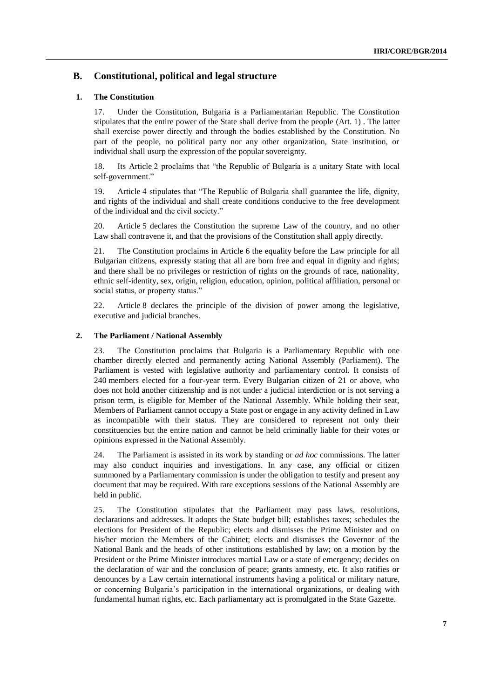### **B. Constitutional, political and legal structure**

### **1. The Constitution**

17. Under the Constitution, Bulgaria is a Parliamentarian Republic. The Constitution stipulates that the entire power of the State shall derive from the people (Art. 1) . The latter shall exercise power directly and through the bodies established by the Constitution. No part of the people, no political party nor any other organization, State institution, or individual shall usurp the expression of the popular sovereignty.

18. Its Article 2 proclaims that "the Republic of Bulgaria is a unitary State with local self-government."

19. Article 4 stipulates that "The Republic of Bulgaria shall guarantee the life, dignity, and rights of the individual and shall create conditions conducive to the free development of the individual and the civil society."

20. Article 5 declares the Constitution the supreme Law of the country, and no other Law shall contravene it, and that the provisions of the Constitution shall apply directly.

21. The Constitution proclaims in Article 6 the equality before the Law principle for all Bulgarian citizens, expressly stating that all are born free and equal in dignity and rights; and there shall be no privileges or restriction of rights on the grounds of race, nationality, ethnic self-identity, sex, origin, religion, education, opinion, political affiliation, personal or social status, or property status."

22. Article 8 declares the principle of the division of power among the legislative, executive and judicial branches.

### **2. The Parliament / National Assembly**

23. The Constitution proclaims that Bulgaria is a Parliamentary Republic with one chamber directly elected and permanently acting National Assembly (Parliament). The Parliament is vested with legislative authority and parliamentary control. It consists of 240 members elected for a four-year term. Every Bulgarian citizen of 21 or above, who does not hold another citizenship and is not under a judicial interdiction or is not serving a prison term, is eligible for Member of the National Assembly. While holding their seat, Members of Parliament cannot occupy a State post or engage in any activity defined in Law as incompatible with their status. They are considered to represent not only their constituencies but the entire nation and cannot be held criminally liable for their votes or opinions expressed in the National Assembly.

24. The Parliament is assisted in its work by standing or *ad hoc* commissions. The latter may also conduct inquiries and investigations. In any case, any official or citizen summoned by a Parliamentary commission is under the obligation to testify and present any document that may be required. With rare exceptions sessions of the National Assembly are held in public.

25. The Constitution stipulates that the Parliament may pass laws, resolutions, declarations and addresses. It adopts the State budget bill; establishes taxes; schedules the elections for President of the Republic; elects and dismisses the Prime Minister and on his/her motion the Members of the Cabinet; elects and dismisses the Governor of the National Bank and the heads of other institutions established by law; on a motion by the President or the Prime Minister introduces martial Law or a state of emergency; decides on the declaration of war and the conclusion of peace; grants amnesty, etc. It also ratifies or denounces by a Law certain international instruments having a political or military nature, or concerning Bulgaria's participation in the international organizations, or dealing with fundamental human rights, etc. Each parliamentary act is promulgated in the State Gazette.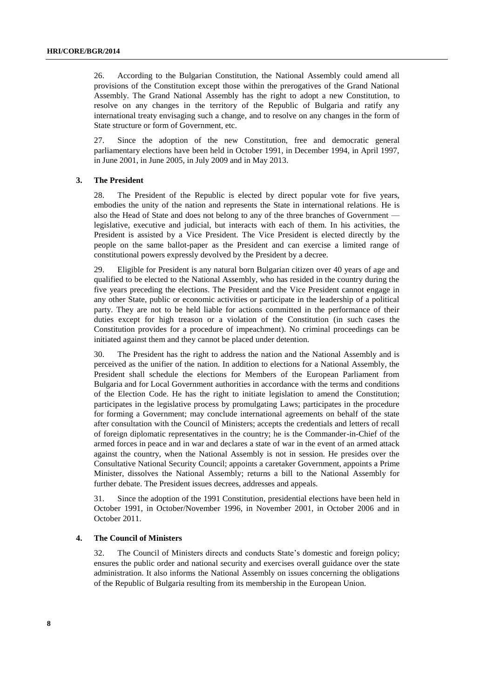26. According to the Bulgarian Constitution, the National Assembly could amend all provisions of the Constitution except those within the prerogatives of the Grand National Assembly. The Grand National Assembly has the right to adopt a new Constitution, to resolve on any changes in the territory of the Republic of Bulgaria and ratify any international treaty envisaging such a change, and to resolve on any changes in the form of State structure or form of Government, etc.

27. Since the adoption of the new Constitution, free and democratic general parliamentary elections have been held in October 1991, in December 1994, in April 1997, in June 2001, in June 2005, in July 2009 and in May 2013.

### **3. The President**

28. The President of the Republic is elected by direct popular vote for five years, embodies the unity of the nation and represents the State in international relations. He is also the Head of State and does not belong to any of the three branches of Government legislative, executive and judicial, but interacts with each of them. In his activities, the President is assisted by a Vice President. The Vice President is elected directly by the people on the same ballot-paper as the President and can exercise a limited range of constitutional powers expressly devolved by the President by a decree.

29. Eligible for President is any natural born Bulgarian citizen over 40 years of age and qualified to be elected to the National Assembly, who has resided in the country during the five years preceding the elections. The President and the Vice President cannot engage in any other State, public or economic activities or participate in the leadership of a political party. They are not to be held liable for actions committed in the performance of their duties except for high treason or a violation of the Constitution (in such cases the Constitution provides for a procedure of impeachment). No criminal proceedings can be initiated against them and they cannot be placed under detention.

30. The President has the right to address the nation and the National Assembly and is perceived as the unifier of the nation. In addition to elections for a National Assembly, the President shall schedule the elections for Members of the European Parliament from Bulgaria and for Local Government authorities in accordance with the terms and conditions of the Election Code. He has the right to initiate legislation to amend the Constitution; participates in the legislative process by promulgating Laws; participates in the procedure for forming a Government; may conclude international agreements on behalf of the state after consultation with the Council of Ministers; accepts the credentials and letters of recall of foreign diplomatic representatives in the country; he is the Commander-in-Chief of the armed forces in peace and in war and declares a state of war in the event of an armed attack against the country, when the National Assembly is not in session. He presides over the Consultative National Security Council; appoints a caretaker Government, appoints a Prime Minister, dissolves the National Assembly; returns a bill to the National Assembly for further debate. The President issues decrees, addresses and appeals.

31. Since the adoption of the 1991 Constitution, presidential elections have been held in October 1991, in October/November 1996, in November 2001, in October 2006 and in October 2011.

### **4. The Council of Ministers**

32. The Council of Ministers directs and conducts State's domestic and foreign policy; ensures the public order and national security and exercises overall guidance over the state administration. It also informs the National Assembly on issues concerning the obligations of the Republic of Bulgaria resulting from its membership in the European Union.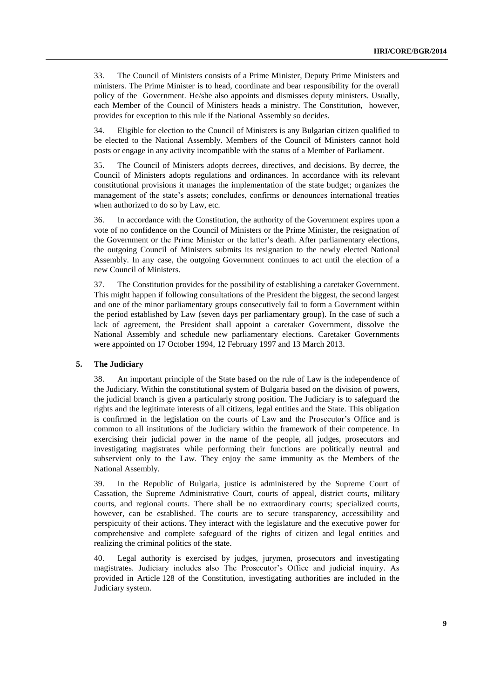33. The Council of Ministers consists of a Prime Minister, Deputy Prime Ministers and ministers. The Prime Minister is to head, coordinate and bear responsibility for the overall policy of the Government. He/she also appoints and dismisses deputy ministers. Usually, each Member of the Council of Ministers heads a ministry. The Constitution, however, provides for exception to this rule if the National Assembly so decides.

34. Eligible for election to the Council of Ministers is any Bulgarian citizen qualified to be elected to the National Assembly. Members of the Council of Ministers cannot hold posts or engage in any activity incompatible with the status of a Member of Parliament.

35. The Council of Ministers adopts decrees, directives, and decisions. By decree, the Council of Ministers adopts regulations and ordinances. In accordance with its relevant constitutional provisions it manages the implementation of the state budget; organizes the management of the state's assets; concludes, confirms or denounces international treaties when authorized to do so by Law, etc.

36. In accordance with the Constitution, the authority of the Government expires upon a vote of no confidence on the Council of Ministers or the Prime Minister, the resignation of the Government or the Prime Minister or the latter's death. After parliamentary elections, the outgoing Council of Ministers submits its resignation to the newly elected National Assembly. In any case, the outgoing Government continues to act until the election of a new Council of Ministers.

37. The Constitution provides for the possibility of establishing a caretaker Government. This might happen if following consultations of the President the biggest, the second largest and one of the minor parliamentary groups consecutively fail to form a Government within the period established by Law (seven days per parliamentary group). In the case of such a lack of agreement, the President shall appoint a caretaker Government, dissolve the National Assembly and schedule new parliamentary elections. Caretaker Governments were appointed on 17 October 1994, 12 February 1997 and 13 March 2013.

#### **5. The Judiciary**

38. An important principle of the State based on the rule of Law is the independence of the Judiciary. Within the constitutional system of Bulgaria based on the division of powers, the judicial branch is given a particularly strong position. The Judiciary is to safeguard the rights and the legitimate interests of all citizens, legal entities and the State. This obligation is confirmed in the legislation on the courts of Law and the Prosecutor's Office and is common to all institutions of the Judiciary within the framework of their competence. In exercising their judicial power in the name of the people, all judges, prosecutors and investigating magistrates while performing their functions are politically neutral and subservient only to the Law. They enjoy the same immunity as the Members of the National Assembly.

39. In the Republic of Bulgaria, justice is administered by the Supreme Court of Cassation, the Supreme Administrative Court, courts of appeal, district courts, military courts, and regional courts. There shall be no extraordinary courts; specialized courts, however, can be established. The courts are to secure transparency, accessibility and perspicuity of their actions. They interact with the legislature and the executive power for comprehensive and complete safeguard of the rights of citizen and legal entities and realizing the criminal politics of the state.

40. Legal authority is exercised by judges, jurymen, prosecutors and investigating magistrates. Judiciary includes also The Prosecutor's Office and judicial inquiry. As provided in Article 128 of the Constitution, investigating authorities are included in the Judiciary system.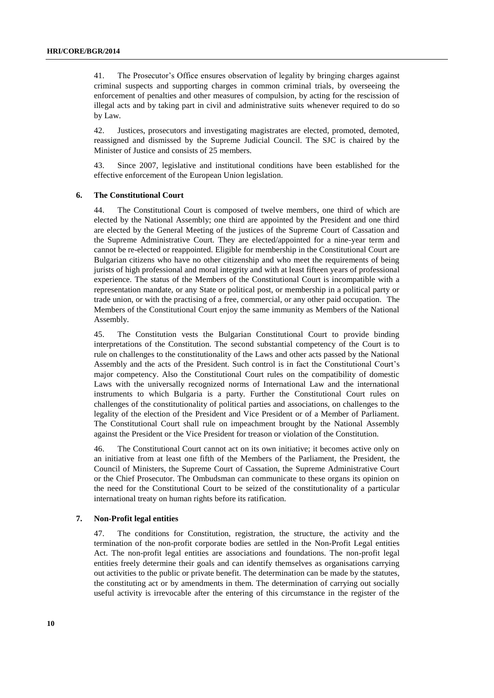41. The Prosecutor's Office ensures observation of legality by bringing charges against criminal suspects and supporting charges in common criminal trials, by overseeing the enforcement of penalties and other measures of compulsion, by acting for the rescission of illegal acts and by taking part in civil and administrative suits whenever required to do so by Law.

42. Justices, prosecutors and investigating magistrates are elected, promoted, demoted, reassigned and dismissed by the Supreme Judicial Council. The SJC is chaired by the Minister of Justice and consists of 25 members.

43. Since 2007, legislative and institutional conditions have been established for the effective enforcement of the European Union legislation.

### **6. The Constitutional Court**

44. The Constitutional Court is composed of twelve members, one third of which are elected by the National Assembly; one third are appointed by the President and one third are elected by the General Meeting of the justices of the Supreme Court of Cassation and the Supreme Administrative Court. They are elected/appointed for a nine-year term and cannot be re-elected or reappointed. Eligible for membership in the Constitutional Court are Bulgarian citizens who have no other citizenship and who meet the requirements of being jurists of high professional and moral integrity and with at least fifteen years of professional experience. The status of the Members of the Constitutional Court is incompatible with a representation mandate, or any State or political post, or membership in a political party or trade union, or with the practising of a free, commercial, or any other paid occupation. The Members of the Constitutional Court enjoy the same immunity as Members of the National Assembly.

45. The Constitution vests the Bulgarian Constitutional Court to provide binding interpretations of the Constitution. The second substantial competency of the Court is to rule on challenges to the constitutionality of the Laws and other acts passed by the National Assembly and the acts of the President. Such control is in fact the Constitutional Court's major competency. Also the Constitutional Court rules on the compatibility of domestic Laws with the universally recognized norms of International Law and the international instruments to which Bulgaria is a party. Further the Constitutional Court rules on challenges of the constitutionality of political parties and associations, on challenges to the legality of the election of the President and Vice President or of a Member of Parliament. The Constitutional Court shall rule on impeachment brought by the National Assembly against the President or the Vice President for treason or violation of the Constitution.

46. The Constitutional Court cannot act on its own initiative; it becomes active only on an initiative from at least one fifth of the Members of the Parliament, the President, the Council of Ministers, the Supreme Court of Cassation, the Supreme Administrative Court or the Chief Prosecutor. The Ombudsman can communicate to these organs its opinion on the need for the Constitutional Court to be seized of the constitutionality of a particular international treaty on human rights before its ratification.

### **7. Non-Profit legal entities**

47. The conditions for Constitution, registration, the structure, the activity and the termination of the non-profit corporate bodies are settled in the Non-Profit Legal entities Act. The non-profit legal entities are associations and foundations. The non-profit legal entities freely determine their goals and can identify themselves as organisations carrying out activities to the public or private benefit. The determination can be made by the statutes, the constituting act or by amendments in them. The determination of carrying out socially useful activity is irrevocable after the entering of this circumstance in the register of the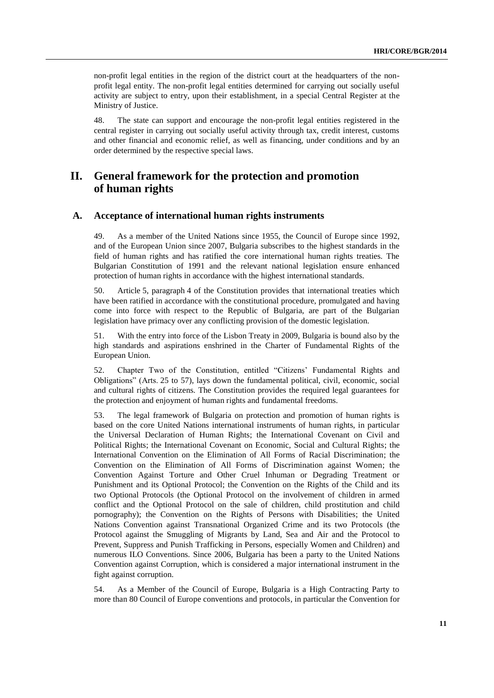non-profit legal entities in the region of the district court at the headquarters of the nonprofit legal entity. The non-profit legal entities determined for carrying out socially useful activity are subject to entry, upon their establishment, in a special Central Register at the Ministry of Justice.

48. The state can support and encourage the non-profit legal entities registered in the central register in carrying out socially useful activity through tax, credit interest, customs and other financial and economic relief, as well as financing, under conditions and by an order determined by the respective special laws.

# **II. General framework for the protection and promotion of human rights**

### **A. Acceptance of international human rights instruments**

49. As a member of the United Nations since 1955, the Council of Europe since 1992, and of the European Union since 2007, Bulgaria subscribes to the highest standards in the field of human rights and has ratified the core international human rights treaties. The Bulgarian Constitution of 1991 and the relevant national legislation ensure enhanced protection of human rights in accordance with the highest international standards.

50. Article 5, paragraph 4 of the Constitution provides that international treaties which have been ratified in accordance with the constitutional procedure, promulgated and having come into force with respect to the Republic of Bulgaria, are part of the Bulgarian legislation have primacy over any conflicting provision of the domestic legislation.

51. With the entry into force of the Lisbon Treaty in 2009, Bulgaria is bound also by the high standards and aspirations enshrined in the Charter of Fundamental Rights of the European Union.

52. Chapter Two of the Constitution, entitled "Citizens' Fundamental Rights and Obligations" (Arts. 25 to 57), lays down the fundamental political, civil, economic, social and cultural rights of citizens. The Constitution provides the required legal guarantees for the protection and enjoyment of human rights and fundamental freedoms.

53. The legal framework of Bulgaria on protection and promotion of human rights is based on the core United Nations international instruments of human rights, in particular the Universal Declaration of Human Rights; the International Covenant on Civil and Political Rights; the International Covenant on Economic, Social and Cultural Rights; the International Convention on the Elimination of All Forms of Racial Discrimination; the Convention on the Elimination of All Forms of Discrimination against Women; the Convention Against Torture and Other Cruel Inhuman or Degrading Treatment or Punishment and its Optional Protocol; the Convention on the Rights of the Child and its two Optional Protocols (the Optional Protocol on the involvement of children in armed conflict and the Optional Protocol on the sale of children, child prostitution and child pornography); the Convention on the Rights of Persons with Disabilities; the United Nations Convention against Transnational Organized Crime and its two Protocols (the Protocol against the Smuggling of Migrants by Land, Sea and Air and the Protocol to Prevent, Suppress and Punish Trafficking in Persons, especially Women and Children) and numerous ILO Conventions. Since 2006, Bulgaria has been a party to the United Nations Convention against Corruption, which is considered a major international instrument in the fight against corruption.

54. As a Member of the Council of Europe, Bulgaria is a High Contracting Party to more than 80 Council of Europe conventions and protocols*,* in particular the Convention for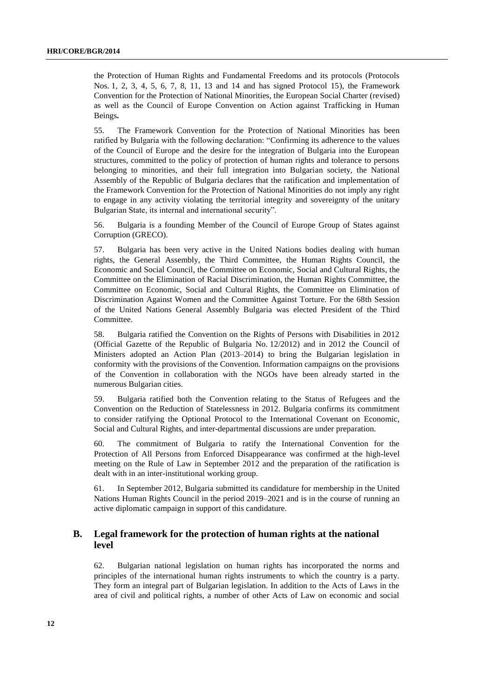the Protection of Human Rights and Fundamental Freedoms and its protocols (Protocols Nos. 1, 2, 3, 4, 5, 6, 7, 8, 11, 13 and 14 and has signed Protocol 15), the Framework Convention for the Protection of National Minorities, the European Social Charter (revised) as well as the Council of Europe Convention on Action against Trafficking in Human Beings**.**

55. The Framework Convention for the Protection of National Minorities has been ratified by Bulgaria with the following declaration: "Confirming its adherence to the values of the Council of Europe and the desire for the integration of Bulgaria into the European structures, committed to the policy of protection of human rights and tolerance to persons belonging to minorities, and their full integration into Bulgarian society, the National Assembly of the Republic of Bulgaria declares that the ratification and implementation of the Framework Convention for the Protection of National Minorities do not imply any right to engage in any activity violating the territorial integrity and sovereignty of the unitary Bulgarian State, its internal and international security".

56. Bulgaria is a founding Member of the Council of Europe Group of States against Corruption (GRECO).

57. Bulgaria has been very active in the United Nations bodies dealing with human rights, the General Assembly, the Third Committee, the Human Rights Council, the Economic and Social Council, the Committee on Economic, Social and Cultural Rights, the Committee on the Elimination of Racial Discrimination, the Human Rights Committee, the Committee on Economic, Social and Cultural Rights, the Committee on Elimination of Discrimination Against Women and the Committee Against Torture. For the 68th Session of the United Nations General Assembly Bulgaria was elected President of the Third Committee.

58. Bulgaria ratified the Convention on the Rights of Persons with Disabilities in 2012 (Official Gazette of the Republic of Bulgaria No. 12/2012) and in 2012 the Council of Ministers adopted an Action Plan (2013–2014) to bring the Bulgarian legislation in conformity with the provisions of the Convention. Information campaigns on the provisions of the Convention in collaboration with the NGOs have been already started in the numerous Bulgarian cities.

59. Bulgaria ratified both the Convention relating to the Status of Refugees and the Convention on the Reduction of Statelessness in 2012. Bulgaria confirms its commitment to consider ratifying the Optional Protocol to the International Covenant on Economic, Social and Cultural Rights, and inter-departmental discussions are under preparation.

60. The commitment of Bulgaria to ratify the International Convention for the Protection of All Persons from Enforced Disappearance was confirmed at the high-level meeting on the Rule of Law in September 2012 and the preparation of the ratification is dealt with in an inter-institutional working group.

61. In September 2012, Bulgaria submitted its candidature for membership in the United Nations Human Rights Council in the period 2019–2021 and is in the course of running an active diplomatic campaign in support of this candidature.

### **B. Legal framework for the protection of human rights at the national level**

62. Bulgarian national legislation on human rights has incorporated the norms and principles of the international human rights instruments to which the country is a party. They form an integral part of Bulgarian legislation. In addition to the Acts of Laws in the area of civil and political rights, a number of other Acts of Law on economic and social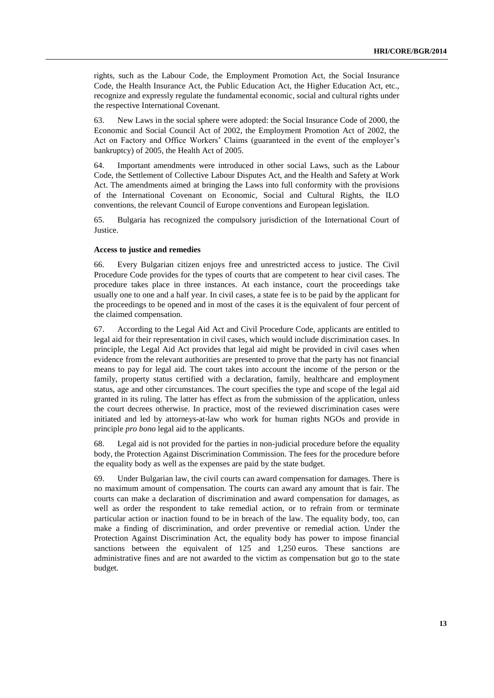rights, such as the Labour Code, the Employment Promotion Act, the Social Insurance Code, the Health Insurance Act, the Public Education Act, the Higher Education Act, etc., recognize and expressly regulate the fundamental economic, social and cultural rights under the respective International Covenant.

63. New Laws in the social sphere were adopted: the Social Insurance Code of 2000, the Economic and Social Council Act of 2002, the Employment Promotion Act of 2002, the Act on Factory and Office Workers' Claims (guaranteed in the event of the employer's bankruptcy) of 2005, the Health Act of 2005.

64. Important amendments were introduced in other social Laws, such as the Labour Code, the Settlement of Collective Labour Disputes Act, and the Health and Safety at Work Act. The amendments aimed at bringing the Laws into full conformity with the provisions of the International Covenant on Economic, Social and Cultural Rights, the ILO conventions, the relevant Council of Europe conventions and European legislation.

65. Bulgaria has recognized the compulsory jurisdiction of the International Court of Justice.

### **Access to justice and remedies**

66. Every Bulgarian citizen enjoys free and unrestricted access to justice. The Civil Procedure Code provides for the types of courts that are competent to hear civil cases. The procedure takes place in three instances. At each instance, court the proceedings take usually one to one and a half year. In civil cases, a state fee is to be paid by the applicant for the proceedings to be opened and in most of the cases it is the equivalent of four percent of the claimed compensation.

67. According to the Legal Aid Act and Civil Procedure Code, applicants are entitled to legal aid for their representation in civil cases, which would include discrimination cases. In principle, the Legal Aid Act provides that legal aid might be provided in civil cases when evidence from the relevant authorities are presented to prove that the party has not financial means to pay for legal aid. The court takes into account the income of the person or the family, property status certified with a declaration, family, healthcare and employment status, age and other circumstances. The court specifies the type and scope of the legal aid granted in its ruling. The latter has effect as from the submission of the application, unless the court decrees otherwise. In practice, most of the reviewed discrimination cases were initiated and led by attorneys-at-law who work for human rights NGOs and provide in principle *pro bono* legal aid to the applicants.

68. Legal aid is not provided for the parties in non-judicial procedure before the equality body, the Protection Against Discrimination Commission. The fees for the procedure before the equality body as well as the expenses are paid by the state budget.

69. Under Bulgarian law, the civil courts can award compensation for damages. There is no maximum amount of compensation. The courts can award any amount that is fair. The courts can make a declaration of discrimination and award compensation for damages, as well as order the respondent to take remedial action, or to refrain from or terminate particular action or inaction found to be in breach of the law. The equality body, too, can make a finding of discrimination, and order preventive or remedial action. Under the Protection Against Discrimination Act, the equality body has power to impose financial sanctions between the equivalent of 125 and 1,250 euros. These sanctions are administrative fines and are not awarded to the victim as compensation but go to the state budget.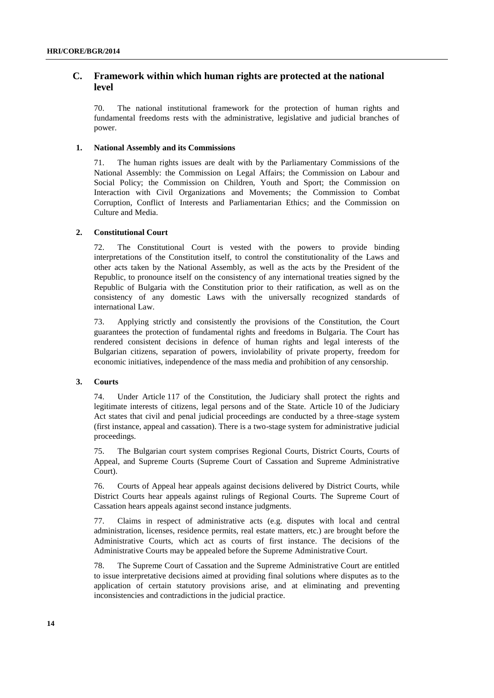### **C. Framework within which human rights are protected at the national level**

70. The national institutional framework for the protection of human rights and fundamental freedoms rests with the administrative, legislative and judicial branches of power.

### **1. National Assembly and its Commissions**

71. The human rights issues are dealt with by the Parliamentary Commissions of the National Assembly: the Commission on Legal Affairs; the Commission on Labour and Social Policy; the Commission on Children, Youth and Sport; the Commission on Interaction with Civil Organizations and Movements; the Commission to Combat Corruption, Conflict of Interests and Parliamentarian Ethics; and the Commission on Culture and Media.

### **2. Constitutional Court**

72. The Constitutional Court is vested with the powers to provide binding interpretations of the Constitution itself, to control the constitutionality of the Laws and other acts taken by the National Assembly, as well as the acts by the President of the Republic, to pronounce itself on the consistency of any international treaties signed by the Republic of Bulgaria with the Constitution prior to their ratification, as well as on the consistency of any domestic Laws with the universally recognized standards of international Law.

73. Applying strictly and consistently the provisions of the Constitution, the Court guarantees the protection of fundamental rights and freedoms in Bulgaria. The Court has rendered consistent decisions in defence of human rights and legal interests of the Bulgarian citizens, separation of powers, inviolability of private property, freedom for economic initiatives, independence of the mass media and prohibition of any censorship.

### **3. Courts**

74. Under Article 117 of the Constitution, the Judiciary shall protect the rights and legitimate interests of citizens, legal persons and of the State. Article 10 of the Judiciary Act states that civil and penal judicial proceedings are conducted by a three-stage system (first instance, appeal and cassation). There is a two-stage system for administrative judicial proceedings.

75. The Bulgarian court system comprises Regional Courts, District Courts, Courts of Appeal, and Supreme Courts (Supreme Court of Cassation and Supreme Administrative Court).

76. Courts of Appeal hear appeals against decisions delivered by District Courts, while District Courts hear appeals against rulings of Regional Courts. The Supreme Court of Cassation hears appeals against second instance judgments.

77. Claims in respect of administrative acts (e.g. disputes with local and central administration, licenses, residence permits, real estate matters, etc.) are brought before the Administrative Courts, which act as courts of first instance. The decisions of the Administrative Courts may be appealed before the Supreme Administrative Court.

78. The Supreme Court of Cassation and the Supreme Administrative Court are entitled to issue interpretative decisions aimed at providing final solutions where disputes as to the application of certain statutory provisions arise, and at eliminating and preventing inconsistencies and contradictions in the judicial practice.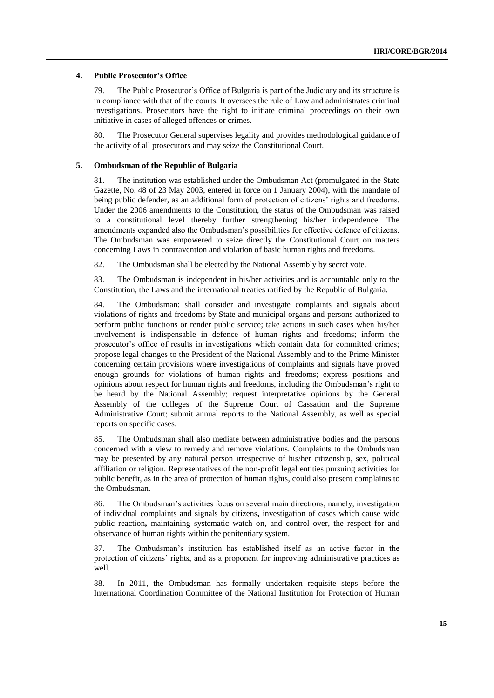### **4. Public Prosecutor's Office**

79. The Public Prosecutor's Office of Bulgaria is part of the Judiciary and its structure is in compliance with that of the courts. It oversees the rule of Law and administrates criminal investigations. Prosecutors have the right to initiate criminal proceedings on their own initiative in cases of alleged offences or crimes.

80. The Prosecutor General supervises legality and provides methodological guidance of the activity of all prosecutors and may seize the Constitutional Court.

### **5. Ombudsman of the Republic of Bulgaria**

81. The institution was established under the Ombudsman Act (promulgated in the State Gazette, No. 48 of 23 May 2003, entered in force on 1 January 2004), with the mandate of being public defender, as an additional form of protection of citizens' rights and freedoms. Under the 2006 amendments to the Constitution, the status of the Ombudsman was raised to a constitutional level thereby further strengthening his/her independence. The amendments expanded also the Ombudsman's possibilities for effective defence of citizens. The Ombudsman was empowered to seize directly the Constitutional Court on matters concerning Laws in contravention and violation of basic human rights and freedoms.

82. The Ombudsman shall be elected by the National Assembly by secret vote.

83. The Ombudsman is independent in his/her activities and is accountable only to the Constitution, the Laws and the international treaties ratified by the Republic of Bulgaria.

84. The Ombudsman: shall consider and investigate complaints and signals about violations of rights and freedoms by State and municipal organs and persons authorized to perform public functions or render public service; take actions in such cases when his/her involvement is indispensable in defence of human rights and freedoms; inform the prosecutor's office of results in investigations which contain data for committed crimes; propose legal changes to the President of the National Assembly and to the Prime Minister concerning certain provisions where investigations of complaints and signals have proved enough grounds for violations of human rights and freedoms; express positions and opinions about respect for human rights and freedoms, including the Ombudsman's right to be heard by the National Assembly; request interpretative opinions by the General Assembly of the colleges of the Supreme Court of Cassation and the Supreme Administrative Court; submit annual reports to the National Assembly, as well as special reports on specific cases.

85. The Ombudsman shall also mediate between administrative bodies and the persons concerned with a view to remedy and remove violations. Complaints to the Ombudsman may be presented by any natural person irrespective of his/her citizenship, sex, political affiliation or religion. Representatives of the non-profit legal entities pursuing activities for public benefit, as in the area of protection of human rights, could also present complaints to the Ombudsman.

86. The Ombudsman's activities focus on several main directions, namely, investigation of individual complaints and signals by citizens**,** investigation of cases which cause wide public reaction**,** maintaining systematic watch on, and control over, the respect for and observance of human rights within the penitentiary system.

87. The Ombudsman's institution has established itself as an active factor in the protection of citizens' rights, and as a proponent for improving administrative practices as well.

88. In 2011, the Ombudsman has formally undertaken requisite steps before the International Coordination Committee of the National Institution for Protection of Human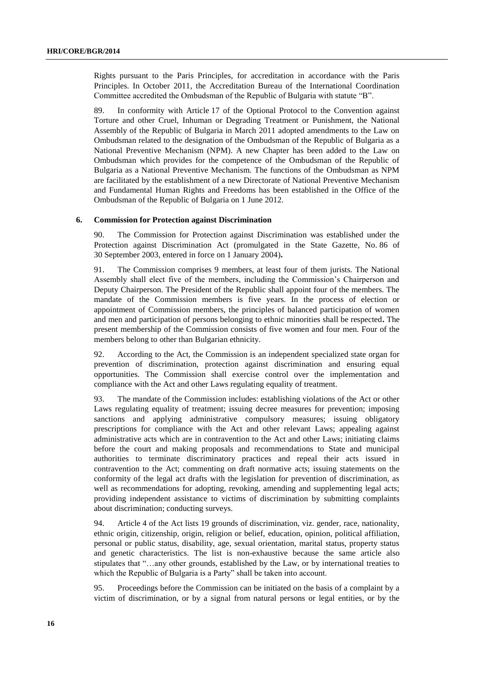Rights pursuant to the Paris Principles, for accreditation in accordance with the Paris Principles. In October 2011, the Accreditation Bureau of the International Coordination Committee accredited the Ombudsman of the Republic of Bulgaria with statute "B".

89. In conformity with Article 17 of the Optional Protocol to the Convention against Torture and other Cruel, Inhuman or Degrading Treatment or Punishment, the National Assembly of the Republic of Bulgaria in March 2011 adopted amendments to the Law on Ombudsman related to the designation of the Ombudsman of the Republic of Bulgaria as a National Preventive Mechanism (NPM). A new Chapter has been added to the Law on Ombudsman which provides for the competence of the Ombudsman of the Republic of Bulgaria as a National Preventive Mechanism. The functions of the Ombudsman as NPM are facilitated by the establishment of a new Directorate of National Preventive Mechanism and Fundamental Human Rights and Freedoms has been established in the Office of the Ombudsman of the Republic of Bulgaria on 1 June 2012.

### **6. Commission for Protection against Discrimination**

90. The Commission for Protection against Discrimination was established under the Protection against Discrimination Act (promulgated in the State Gazette, No. 86 of 30 September 2003, entered in force on 1 January 2004)**.**

91. The Commission comprises 9 members, at least four of them jurists. The National Assembly shall elect five of the members, including the Commission's Chairperson and Deputy Chairperson. The President of the Republic shall appoint four of the members. The mandate of the Commission members is five years. In the process of election or appointment of Commission members, the principles of balanced participation of women and men and participation of persons belonging to ethnic minorities shall be respected**.** The present membership of the Commission consists of five women and four men. Four of the members belong to other than Bulgarian ethnicity.

92. According to the Act, the Commission is an independent specialized state organ for prevention of discrimination, protection against discrimination and ensuring equal opportunities. The Commission shall exercise control over the implementation and compliance with the Act and other Laws regulating equality of treatment.

93. The mandate of the Commission includes: establishing violations of the Act or other Laws regulating equality of treatment; issuing decree measures for prevention; imposing sanctions and applying administrative compulsory measures; issuing obligatory prescriptions for compliance with the Act and other relevant Laws; appealing against administrative acts which are in contravention to the Act and other Laws; initiating claims before the court and making proposals and recommendations to State and municipal authorities to terminate discriminatory practices and repeal their acts issued in contravention to the Act; commenting on draft normative acts; issuing statements on the conformity of the legal act drafts with the legislation for prevention of discrimination, as well as recommendations for adopting, revoking, amending and supplementing legal acts; providing independent assistance to victims of discrimination by submitting complaints about discrimination; conducting surveys.

94. Article 4 of the Act lists 19 grounds of discrimination, viz. gender, race, nationality, ethnic origin, citizenship, origin, religion or belief, education, opinion, political affiliation, personal or public status, disability, age, sexual orientation, marital status, property status and genetic characteristics. The list is non-exhaustive because the same article also stipulates that "…any other grounds, established by the Law, or by international treaties to which the Republic of Bulgaria is a Party" shall be taken into account.

95. Proceedings before the Commission can be initiated on the basis of a complaint by a victim of discrimination, or by a signal from natural persons or legal entities, or by the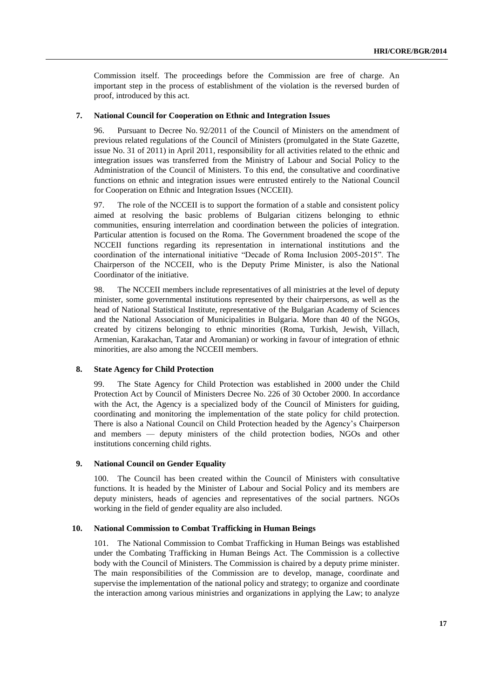Commission itself. The proceedings before the Commission are free of charge. An important step in the process of establishment of the violation is the reversed burden of proof, introduced by this act.

### **7. National Council for Cooperation on Ethnic and Integration Issues**

96. Pursuant to Decree No. 92/2011 of the Council of Ministers on the amendment of previous related regulations of the Council of Ministers (promulgated in the State Gazette, issue No. 31 of 2011) in April 2011, responsibility for all activities related to the ethnic and integration issues was transferred from the Ministry of Labour and Social Policy to the Administration of the Council of Ministers. To this end, the consultative and coordinative functions on ethnic and integration issues were entrusted entirely to the National Council for Cooperation on Ethnic and Integration Issues (NCCEII).

97. The role of the NCCEII is to support the formation of a stable and consistent policy aimed at resolving the basic problems of Bulgarian citizens belonging to ethnic communities, ensuring interrelation and coordination between the policies of integration. Particular attention is focused on the Roma. The Government broadened the scope of the NCCEII functions regarding its representation in international institutions and the coordination of the international initiative "Decade of Roma Inclusion 2005-2015". The Chairperson of the NCCEII, who is the Deputy Prime Minister, is also the National Coordinator of the initiative.

98. The NCCEII members include representatives of all ministries at the level of deputy minister, some governmental institutions represented by their chairpersons, as well as the head of National Statistical Institute, representative of the Bulgarian Academy of Sciences and the National Association of Municipalities in Bulgaria. More than 40 of the NGOs, created by citizens belonging to ethnic minorities (Roma, Turkish, Jewish, Villach, Armenian, Karakachan, Tatar and Aromanian) or working in favour of integration of ethnic minorities, are also among the NCCEII members.

### **8. State Agency for Child Protection**

99. The State Agency for Child Protection was established in 2000 under the Child Protection Act by Council of Ministers Decree No. 226 of 30 October 2000. In accordance with the Act, the Agency is a specialized body of the Council of Ministers for guiding, coordinating and monitoring the implementation of the state policy for child protection. There is also a National Council on Child Protection headed by the Agency's Chairperson and members — deputy ministers of the child protection bodies, NGOs and other institutions concerning child rights.

### **9. National Council on Gender Equality**

100. The Council has been created within the Council of Ministers with consultative functions. It is headed by the Minister of Labour and Social Policy and its members are deputy ministers, heads of agencies and representatives of the social partners. NGOs working in the field of gender equality are also included.

#### **10. National Commission to Combat Trafficking in Human Beings**

101. The National Commission to Combat Trafficking in Human Beings was established under the Combating Trafficking in Human Beings Act. The Commission is a collective body with the Council of Ministers. The Commission is chaired by a deputy prime minister. The main responsibilities of the Commission are to develop, manage, coordinate and supervise the implementation of the national policy and strategy; to organize and coordinate the interaction among various ministries and organizations in applying the Law; to analyze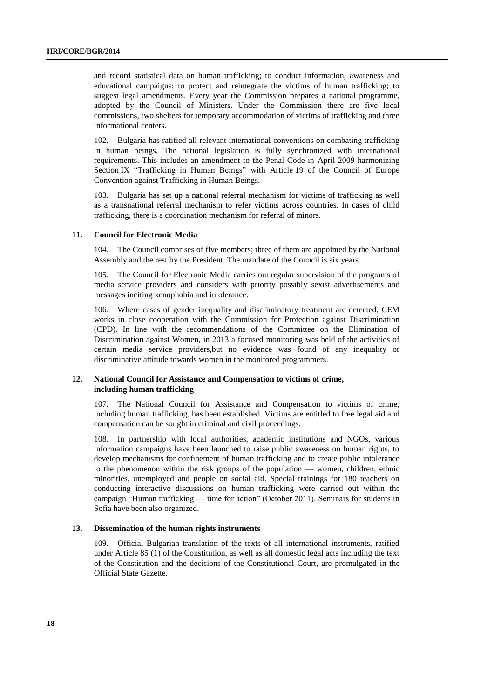and record statistical data on human trafficking; to conduct information, awareness and educational campaigns; to protect and reintegrate the victims of human trafficking; to suggest legal amendments. Every year the Commission prepares a national programme, adopted by the Council of Ministers. Under the Commission there are five local commissions, two shelters for temporary accommodation of victims of trafficking and three informational centers.

102. Bulgaria has ratified all relevant international conventions on combating trafficking in human beings. The national legislation is fully synchronized with international requirements. This includes an amendment to the Penal Code in April 2009 harmonizing Section IX "Trafficking in Human Beings" with Article 19 of the Council of Europe Convention against Trafficking in Human Beings.

103. Bulgaria has set up a national referral mechanism for victims of trafficking as well as a transnational referral mechanism to refer victims across countries. In cases of child trafficking, there is a coordination mechanism for referral of minors.

### **11. Council for Electronic Media**

104. The Council comprises of five members; three of them are appointed by the National Assembly and the rest by the President. The mandate of the Council is six years.

105. The Council for Electronic Media carries out regular supervision of the programs of media service providers and considers with priority possibly sexist advertisements and messages inciting xenophobia and intolerance.

106. Where cases of gender inequality and discriminatory treatment are detected, CEM works in close cooperation with the Commission for Protection against Discrimination (CPD). In line with the recommendations of the Committee on the Elimination of Discrimination against Women, in 2013 a focused monitoring was held of the activities of certain media service providers,but no evidence was found of any inequality or discriminative attitude towards women in the monitored programmers.

### **12. National Council for Assistance and Compensation to victims of crime, including human trafficking**

107. The National Council for Assistance and Compensation to victims of crime, including human trafficking, has been established. Victims are entitled to free legal aid and compensation can be sought in criminal and civil proceedings.

108. In partnership with local authorities, academic institutions and NGOs, various information campaigns have been launched to raise public awareness on human rights, to develop mechanisms for confinement of human trafficking and to create public intolerance to the phenomenon within the risk groups of the population — women, children, ethnic minorities, unemployed and people on social aid. Special trainings for 180 teachers on conducting interactive discussions on human trafficking were carried out within the campaign "Human trafficking — time for action" (October 2011). Seminars for students in Sofia have been also organized.

#### **13. Dissemination of the human rights instruments**

109. Official Bulgarian translation of the texts of all international instruments, ratified under Article 85 (1) of the Constitution, as well as all domestic legal acts including the text of the Constitution and the decisions of the Constitutional Court, are promulgated in the Official State Gazette.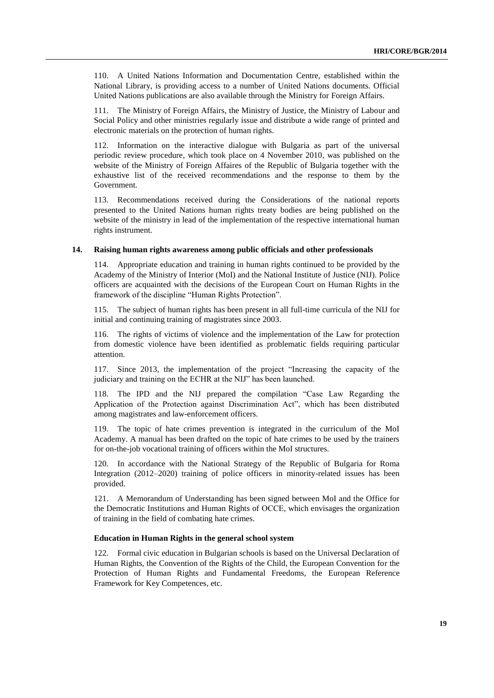110. A United Nations Information and Documentation Centre, established within the National Library, is providing access to a number of United Nations documents. Official United Nations publications are also available through the Ministry for Foreign Affairs.

111. The Ministry of Foreign Affairs, the Ministry of Justice, the Ministry of Labour and Social Policy and other ministries regularly issue and distribute a wide range of printed and electronic materials on the protection of human rights.

112. Information on the interactive dialogue with Bulgaria as part of the universal periodic review procedure, which took place on 4 November 2010, was published on the website of the Ministry of Foreign Affaires of the Republic of Bulgaria together with the exhaustive list of the received recommendations and the response to them by the Government.

113. Recommendations received during the Considerations of the national reports presented to the United Nations human rights treaty bodies are being published on the website of the ministry in lead of the implementation of the respective international human rights instrument.

### **14. Raising human rights awareness among public officials and other professionals**

114. Appropriate education and training in human rights continued to be provided by the Academy of the Ministry of Interior (MoI) and the National Institute of Justice (NIJ). Police officers are acquainted with the decisions of the European Court on Human Rights in the framework of the discipline "Human Rights Protection".

115. The subject of human rights has been present in all full-time curricula of the NIJ for initial and continuing training of magistrates since 2003.

116. The rights of victims of violence and the implementation of the Law for protection from domestic violence have been identified as problematic fields requiring particular attention.

117. Since 2013, the implementation of the project "Increasing the capacity of the judiciary and training on the ECHR at the NIJ" has been launched.

118. The IPD and the NIJ prepared the compilation "Case Law Regarding the Application of the Protection against Discrimination Act", which has been distributed among magistrates and law-enforcement officers.

119. The topic of hate crimes prevention is integrated in the curriculum of the MoI Academy. A manual has been drafted on the topic of hate crimes to be used by the trainers for on-the-job vocational training of officers within the MoI structures.

120. In accordance with the National Strategy of the Republic of Bulgaria for Roma Integration (2012–2020) training of police officers in minority-related issues has been provided.

121. A Memorandum of Understanding has been signed between MoI and the Office for the Democratic Institutions and Human Rights of ОССЕ, which envisages the organization of training in the field of combating hate crimes.

### **Education in Human Rights in the general school system**

122. Formal civic education in Bulgarian schools is based on the Universal Declaration of Human Rights, the Convention of the Rights of the Child, the European Convention for the Protection of Human Rights and Fundamental Freedoms, the European Reference Framework for Key Competences, etc.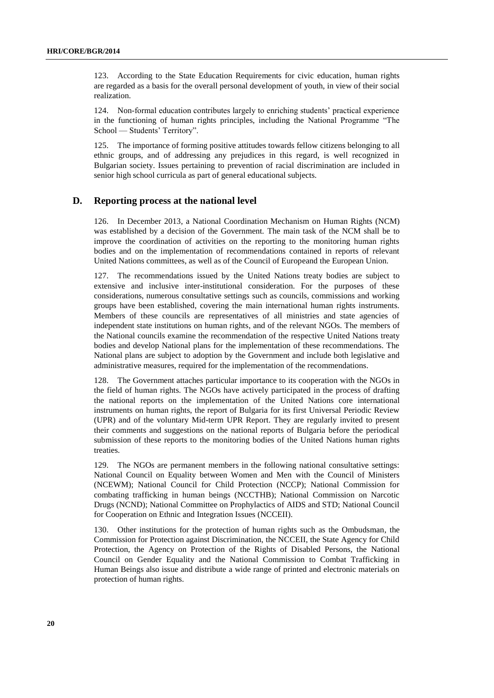123. According to the State Education Requirements for civic education, human rights are regarded as a basis for the overall personal development of youth, in view of their social realization.

124. Non-formal education contributes largely to enriching students' practical experience in the functioning of human rights principles, including the National Programme "The School — Students' Territory".

125. The importance of forming positive attitudes towards fellow citizens belonging to all ethnic groups, and of addressing any prejudices in this regard, is well recognized in Bulgarian society. Issues pertaining to prevention of racial discrimination are included in senior high school curricula as part of general educational subjects.

### **D. Reporting process at the national level**

126. In December 2013, a National Coordination Mechanism on Human Rights (NCM) was established by a decision of the Government. The main task of the NCM shall be to improve the coordination of activities on the reporting to the monitoring human rights bodies and on the implementation of recommendations contained in reports of relevant United Nations committees, as well as of the Council of Europeand the European Union.

127. The recommendations issued by the United Nations treaty bodies are subject to extensive and inclusive inter-institutional consideration. For the purposes of these considerations, numerous consultative settings such as councils, commissions and working groups have been established, covering the main international human rights instruments. Members of these councils are representatives of all ministries and state agencies of independent state institutions on human rights, and of the relevant NGOs. The members of the National councils examine the recommendation of the respective United Nations treaty bodies and develop National plans for the implementation of these recommendations. The National plans are subject to adoption by the Government and include both legislative and administrative measures, required for the implementation of the recommendations.

128. The Government attaches particular importance to its cooperation with the NGOs in the field of human rights. The NGOs have actively participated in the process of drafting the national reports on the implementation of the United Nations core international instruments on human rights, the report of Bulgaria for its first Universal Periodic Review (UPR) and of the voluntary Mid-term UPR Report. They are regularly invited to present their comments and suggestions on the national reports of Bulgaria before the periodical submission of these reports to the monitoring bodies of the United Nations human rights treaties.

129. The NGOs are permanent members in the following national consultative settings: National Council on Equality between Women and Men with the Council of Ministers (NCEWM); National Council for Child Protection (NCCP); National Commission for combating trafficking in human beings (NCCTHB); National Commission on Narcotic Drugs (NCND); National Committee on Prophylactics of AIDS and STD; National Council for Cooperation on Ethnic and Integration Issues (NCCEII).

130. Other institutions for the protection of human rights such as the Ombudsman, the Commission for Protection against Discrimination, the NCCEII, the State Agency for Child Protection, the Agency on Protection of the Rights of Disabled Persons, the National Council on Gender Equality and the National Commission to Combat Trafficking in Human Beings also issue and distribute a wide range of printed and electronic materials on protection of human rights.